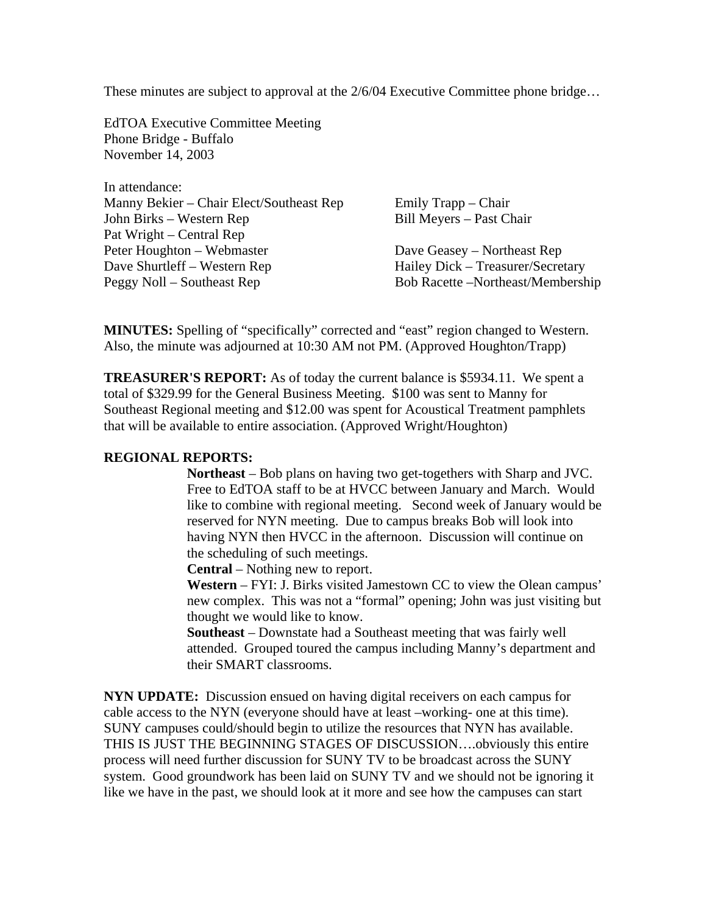These minutes are subject to approval at the 2/6/04 Executive Committee phone bridge…

EdTOA Executive Committee Meeting Phone Bridge - Buffalo November 14, 2003

In attendance: Manny Bekier – Chair Elect/Southeast Rep Emily Trapp – Chair John Birks – Western Rep Bill Meyers – Past Chair Pat Wright – Central Rep Peter Houghton – Webmaster Dave Geasey – Northeast Rep Dave Shurtleff – Western Rep Hailey Dick – Treasurer/Secretary Peggy Noll – Southeast Rep Bob Racette –Northeast/Membership

**MINUTES:** Spelling of "specifically" corrected and "east" region changed to Western. Also, the minute was adjourned at 10:30 AM not PM. (Approved Houghton/Trapp)

**TREASURER'S REPORT:** As of today the current balance is \$5934.11. We spent a total of \$329.99 for the General Business Meeting. \$100 was sent to Manny for Southeast Regional meeting and \$12.00 was spent for Acoustical Treatment pamphlets that will be available to entire association. (Approved Wright/Houghton)

## **REGIONAL REPORTS:**

**Northeast** – Bob plans on having two get-togethers with Sharp and JVC. Free to EdTOA staff to be at HVCC between January and March. Would like to combine with regional meeting. Second week of January would be reserved for NYN meeting. Due to campus breaks Bob will look into having NYN then HVCC in the afternoon. Discussion will continue on the scheduling of such meetings.

**Central** – Nothing new to report.

**Western** – FYI: J. Birks visited Jamestown CC to view the Olean campus' new complex. This was not a "formal" opening; John was just visiting but thought we would like to know.

**Southeast** – Downstate had a Southeast meeting that was fairly well attended. Grouped toured the campus including Manny's department and their SMART classrooms.

**NYN UPDATE:** Discussion ensued on having digital receivers on each campus for cable access to the NYN (everyone should have at least –working- one at this time). SUNY campuses could/should begin to utilize the resources that NYN has available. THIS IS JUST THE BEGINNING STAGES OF DISCUSSION….obviously this entire process will need further discussion for SUNY TV to be broadcast across the SUNY system. Good groundwork has been laid on SUNY TV and we should not be ignoring it like we have in the past, we should look at it more and see how the campuses can start